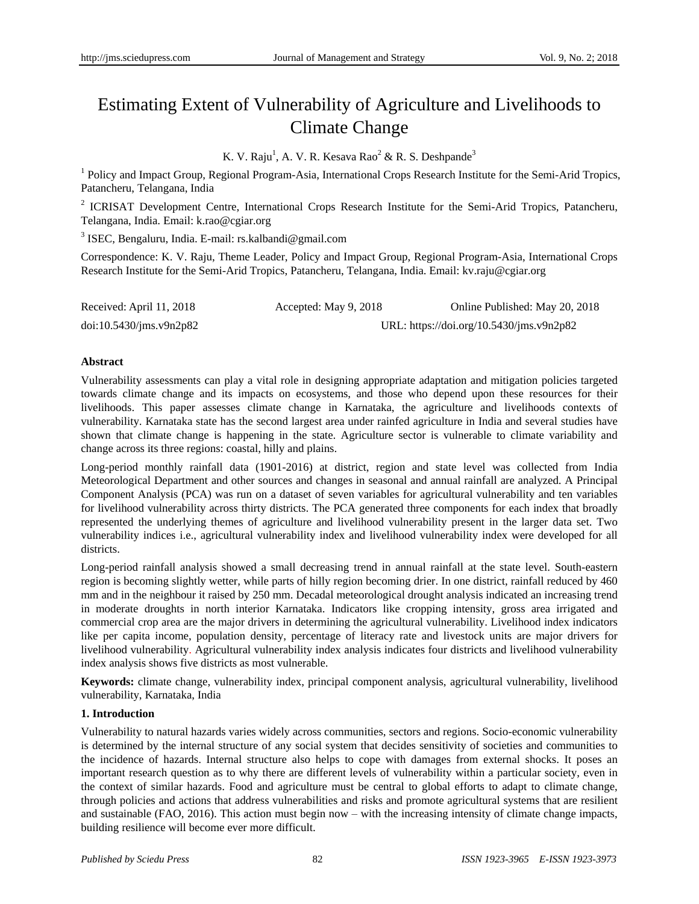# Estimating Extent of Vulnerability of Agriculture and Livelihoods to Climate Change

K. V. Raju<sup>1</sup>, A. V. R. Kesava Rao $^2$  & R. S. Deshpande $^3$ 

<sup>1</sup> Policy and Impact Group, Regional Program-Asia, International Crops Research Institute for the Semi-Arid Tropics, Patancheru, Telangana, India

<sup>2</sup> ICRISAT Development Centre, International Crops Research Institute for the Semi-Arid Tropics, Patancheru, Telangana, India. Email: k.rao@cgiar.org

3 ISEC, Bengaluru, India. E-mail: rs.kalbandi@gmail.com

Correspondence: K. V. Raju, Theme Leader, Policy and Impact Group, Regional Program-Asia, International Crops Research Institute for the Semi-Arid Tropics, Patancheru, Telangana, India. Email: kv.raju@cgiar.org

| Received: April 11, 2018 | Accepted: May 9, 2018 | Online Published: May 20, 2018           |
|--------------------------|-----------------------|------------------------------------------|
| doi:10.5430/ims.v9n2p82  |                       | URL: https://doi.org/10.5430/jms.v9n2p82 |

# **Abstract**

Vulnerability assessments can play a vital role in designing appropriate adaptation and mitigation policies targeted towards climate change and its impacts on ecosystems, and those who depend upon these resources for their livelihoods. This paper assesses climate change in Karnataka, the agriculture and livelihoods contexts of vulnerability. Karnataka state has the second largest area under rainfed agriculture in India and several studies have shown that climate change is happening in the state. Agriculture sector is vulnerable to climate variability and change across its three regions: coastal, hilly and plains.

Long-period monthly rainfall data (1901-2016) at district, region and state level was collected from India Meteorological Department and other sources and changes in seasonal and annual rainfall are analyzed. A Principal Component Analysis (PCA) was run on a dataset of seven variables for agricultural vulnerability and ten variables for livelihood vulnerability across thirty districts. The PCA generated three components for each index that broadly represented the underlying themes of agriculture and livelihood vulnerability present in the larger data set. Two vulnerability indices i.e., agricultural vulnerability index and livelihood vulnerability index were developed for all districts.

Long-period rainfall analysis showed a small decreasing trend in annual rainfall at the state level. South-eastern region is becoming slightly wetter, while parts of hilly region becoming drier. In one district, rainfall reduced by 460 mm and in the neighbour it raised by 250 mm. Decadal meteorological drought analysis indicated an increasing trend in moderate droughts in north interior Karnataka. Indicators like cropping intensity, gross area irrigated and commercial crop area are the major drivers in determining the agricultural vulnerability. Livelihood index indicators like per capita income, population density, percentage of literacy rate and livestock units are major drivers for livelihood vulnerability. Agricultural vulnerability index analysis indicates four districts and livelihood vulnerability index analysis shows five districts as most vulnerable.

**Keywords:** climate change, vulnerability index, principal component analysis, agricultural vulnerability, livelihood vulnerability, Karnataka, India

# **1. Introduction**

Vulnerability to natural hazards varies widely across communities, sectors and regions. Socio-economic vulnerability is determined by the internal structure of any social system that decides sensitivity of societies and communities to the incidence of hazards. Internal structure also helps to cope with damages from external shocks. It poses an important research question as to why there are different levels of vulnerability within a particular society, even in the context of similar hazards. Food and agriculture must be central to global efforts to adapt to climate change, through policies and actions that address vulnerabilities and risks and promote agricultural systems that are resilient and sustainable (FAO, 2016). This action must begin now – with the increasing intensity of climate change impacts, building resilience will become ever more difficult.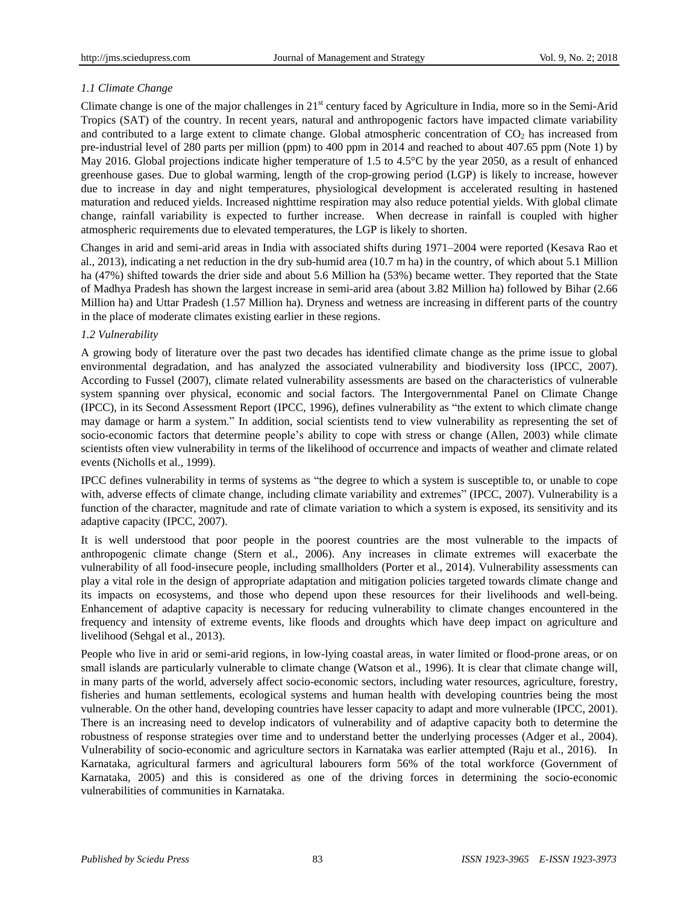# *1.1 Climate Change*

Climate change is one of the major challenges in  $21<sup>st</sup>$  century faced by Agriculture in India, more so in the Semi-Arid Tropics (SAT) of the country. In recent years, natural and anthropogenic factors have impacted climate variability and contributed to a large extent to climate change. Global atmospheric concentration of  $CO<sub>2</sub>$  has increased from pre-industrial level of 280 parts per million (ppm) to 400 ppm in 2014 and reached to about 407.65 ppm (Note 1) by May 2016. Global projections indicate higher temperature of 1.5 to 4.5  $\degree$  by the year 2050, as a result of enhanced greenhouse gases. Due to global warming, length of the crop-growing period (LGP) is likely to increase, however due to increase in day and night temperatures, physiological development is accelerated resulting in hastened maturation and reduced yields. Increased nighttime respiration may also reduce potential yields. With global climate change, rainfall variability is expected to further increase. When decrease in rainfall is coupled with higher atmospheric requirements due to elevated temperatures, the LGP is likely to shorten.

Changes in arid and semi-arid areas in India with associated shifts during 1971–2004 were reported (Kesava Rao et al., 2013), indicating a net reduction in the dry sub-humid area (10.7 m ha) in the country, of which about 5.1 Million ha (47%) shifted towards the drier side and about 5.6 Million ha (53%) became wetter. They reported that the State of Madhya Pradesh has shown the largest increase in semi-arid area (about 3.82 Million ha) followed by Bihar (2.66 Million ha) and Uttar Pradesh (1.57 Million ha). Dryness and wetness are increasing in different parts of the country in the place of moderate climates existing earlier in these regions.

# *1.2 Vulnerability*

A growing body of literature over the past two decades has identified climate change as the prime issue to global environmental degradation, and has analyzed the associated vulnerability and biodiversity loss (IPCC, 2007). According to Fussel (2007), climate related vulnerability assessments are based on the characteristics of vulnerable system spanning over physical, economic and social factors. The Intergovernmental Panel on Climate Change (IPCC), in its Second Assessment Report (IPCC, 1996), defines vulnerability as "the extent to which climate change may damage or harm a system." In addition, social scientists tend to view vulnerability as representing the set of socio-economic factors that determine people's ability to cope with stress or change (Allen, 2003) while climate scientists often view vulnerability in terms of the likelihood of occurrence and impacts of weather and climate related events (Nicholls et al., 1999).

IPCC defines vulnerability in terms of systems as "the degree to which a system is susceptible to, or unable to cope with, adverse effects of climate change, including climate variability and extremes" (IPCC, 2007). Vulnerability is a function of the character, magnitude and rate of climate variation to which a system is exposed, its sensitivity and its adaptive capacity (IPCC, 2007).

It is well understood that poor people in the poorest countries are the most vulnerable to the impacts of anthropogenic climate change (Stern et al., 2006). Any increases in climate extremes will exacerbate the vulnerability of all food-insecure people, including smallholders (Porter et al., 2014). Vulnerability assessments can play a vital role in the design of appropriate adaptation and mitigation policies targeted towards climate change and its impacts on ecosystems, and those who depend upon these resources for their livelihoods and well-being. Enhancement of adaptive capacity is necessary for reducing vulnerability to climate changes encountered in the frequency and intensity of extreme events, like floods and droughts which have deep impact on agriculture and livelihood (Sehgal et al., 2013).

People who live in arid or semi-arid regions, in low-lying coastal areas, in water limited or flood-prone areas, or on small islands are particularly vulnerable to climate change (Watson et al., 1996). It is clear that climate change will, in many parts of the world, adversely affect socio-economic sectors, including water resources, agriculture, forestry, fisheries and human settlements, ecological systems and human health with developing countries being the most vulnerable. On the other hand, developing countries have lesser capacity to adapt and more vulnerable (IPCC, 2001). There is an increasing need to develop indicators of vulnerability and of adaptive capacity both to determine the robustness of response strategies over time and to understand better the underlying processes (Adger et al., 2004). Vulnerability of socio-economic and agriculture sectors in Karnataka was earlier attempted (Raju et al., 2016). In Karnataka, agricultural farmers and agricultural labourers form 56% of the total workforce (Government of Karnataka, 2005) and this is considered as one of the driving forces in determining the socio-economic vulnerabilities of communities in Karnataka.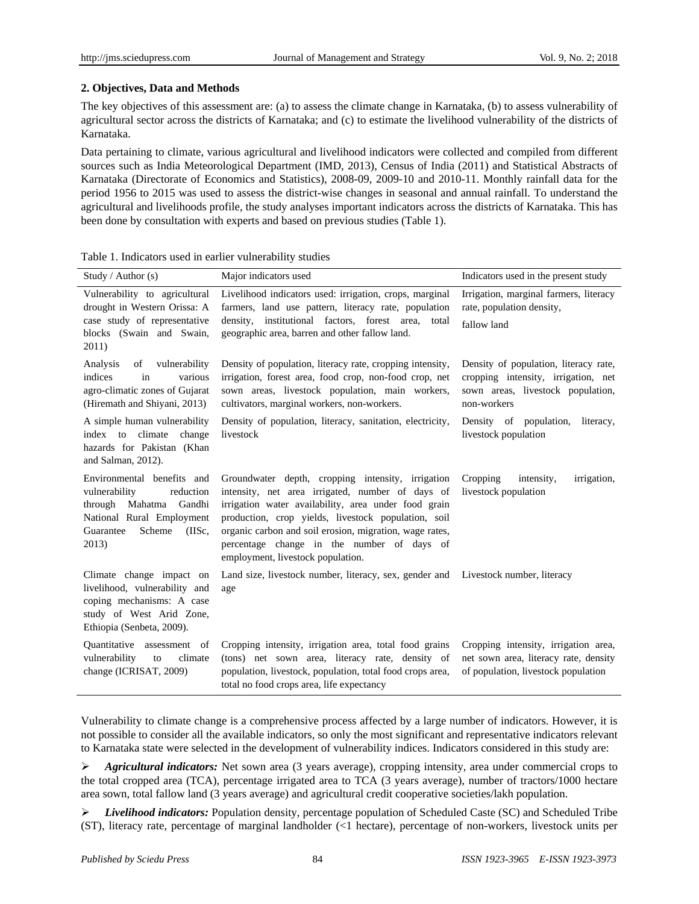# **2. Objectives, Data and Methods**

The key objectives of this assessment are: (a) to assess the climate change in Karnataka, (b) to assess vulnerability of agricultural sector across the districts of Karnataka; and (c) to estimate the livelihood vulnerability of the districts of Karnataka.

Data pertaining to climate, various agricultural and livelihood indicators were collected and compiled from different sources such as India Meteorological Department (IMD, 2013), Census of India (2011) and Statistical Abstracts of Karnataka (Directorate of Economics and Statistics), 2008-09, 2009-10 and 2010-11. Monthly rainfall data for the period 1956 to 2015 was used to assess the district-wise changes in seasonal and annual rainfall. To understand the agricultural and livelihoods profile, the study analyses important indicators across the districts of Karnataka. This has been done by consultation with experts and based on previous studies (Table 1).

| Study / Author $(s)$                                                                                                                                            | Major indicators used                                                                                                                                                                                                                                                                                                                                              | Indicators used in the present study                                                                                             |
|-----------------------------------------------------------------------------------------------------------------------------------------------------------------|--------------------------------------------------------------------------------------------------------------------------------------------------------------------------------------------------------------------------------------------------------------------------------------------------------------------------------------------------------------------|----------------------------------------------------------------------------------------------------------------------------------|
| Vulnerability to agricultural<br>drought in Western Orissa: A<br>case study of representative<br>blocks (Swain and Swain,<br>2011)                              | Livelihood indicators used: irrigation, crops, marginal<br>farmers, land use pattern, literacy rate, population<br>density, institutional factors, forest area,<br>total<br>geographic area, barren and other fallow land.                                                                                                                                         | Irrigation, marginal farmers, literacy<br>rate, population density,<br>fallow land                                               |
| Analysis<br>of<br>vulnerability<br>in<br>indices<br>various<br>agro-climatic zones of Gujarat<br>(Hiremath and Shiyani, 2013)                                   | Density of population, literacy rate, cropping intensity,<br>irrigation, forest area, food crop, non-food crop, net<br>sown areas, livestock population, main workers,<br>cultivators, marginal workers, non-workers.                                                                                                                                              | Density of population, literacy rate,<br>cropping intensity, irrigation, net<br>sown areas, livestock population,<br>non-workers |
| A simple human vulnerability<br>index to climate<br>change<br>hazards for Pakistan (Khan<br>and Salman, 2012).                                                  | Density of population, literacy, sanitation, electricity,<br>livestock                                                                                                                                                                                                                                                                                             | Density of population,<br>literacy,<br>livestock population                                                                      |
| Environmental benefits and<br>vulnerability<br>reduction<br>Mahatma<br>Gandhi<br>through<br>National Rural Employment<br>Guarantee<br>Scheme<br>(IISc,<br>2013) | Groundwater depth, cropping intensity, irrigation<br>intensity, net area irrigated, number of days of<br>irrigation water availability, area under food grain<br>production, crop yields, livestock population, soil<br>organic carbon and soil erosion, migration, wage rates,<br>percentage change in the number of days of<br>employment, livestock population. | Cropping<br>intensity,<br>irrigation,<br>livestock population                                                                    |
| Climate change impact on<br>livelihood, vulnerability and<br>coping mechanisms: A case<br>study of West Arid Zone,<br>Ethiopia (Senbeta, 2009).                 | Land size, livestock number, literacy, sex, gender and Livestock number, literacy<br>age                                                                                                                                                                                                                                                                           |                                                                                                                                  |
| Quantitative assessment<br>of<br>vulnerability<br>climate<br>to<br>change (ICRISAT, 2009)                                                                       | Cropping intensity, irrigation area, total food grains<br>(tons) net sown area, literacy rate, density of<br>population, livestock, population, total food crops area,<br>total no food crops area, life expectancy                                                                                                                                                | Cropping intensity, irrigation area,<br>net sown area, literacy rate, density<br>of population, livestock population             |

Table 1. Indicators used in earlier vulnerability studies

Vulnerability to climate change is a comprehensive process affected by a large number of indicators. However, it is not possible to consider all the available indicators, so only the most significant and representative indicators relevant to Karnataka state were selected in the development of vulnerability indices. Indicators considered in this study are:

 *Agricultural indicators:* Net sown area (3 years average), cropping intensity, area under commercial crops to the total cropped area (TCA), percentage irrigated area to TCA (3 years average), number of tractors/1000 hectare area sown, total fallow land (3 years average) and agricultural credit cooperative societies/lakh population.

 *Livelihood indicators:* Population density, percentage population of Scheduled Caste (SC) and Scheduled Tribe (ST), literacy rate, percentage of marginal landholder (<1 hectare), percentage of non-workers, livestock units per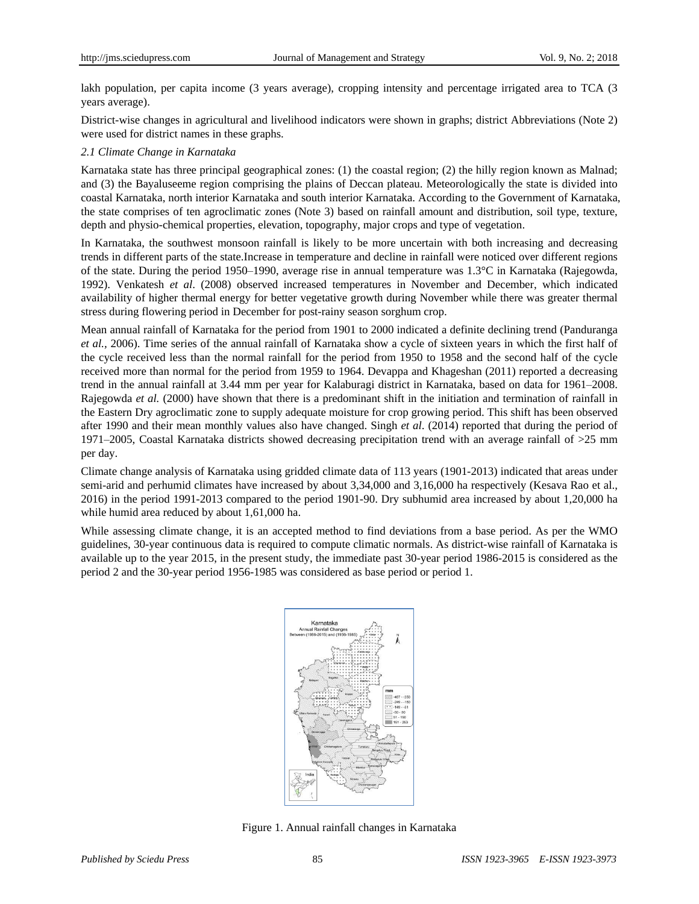lakh population, per capita income (3 years average), cropping intensity and percentage irrigated area to TCA (3 years average).

District-wise changes in agricultural and livelihood indicators were shown in graphs; district Abbreviations (Note 2) were used for district names in these graphs.

#### *2.1 Climate Change in Karnataka*

Karnataka state has three principal geographical zones: (1) the coastal region; (2) the hilly region known as Malnad; and (3) the Bayaluseeme region comprising the plains of Deccan plateau. Meteorologically the state is divided into coastal Karnataka, north interior Karnataka and south interior Karnataka. According to the Government of Karnataka, the state comprises of ten agroclimatic zones (Note 3) based on rainfall amount and distribution, soil type, texture, depth and physio-chemical properties, elevation, topography, major crops and type of vegetation.

In Karnataka, the southwest monsoon rainfall is likely to be more uncertain with both increasing and decreasing trends in different parts of the state.Increase in temperature and decline in rainfall were noticed over different regions of the state. During the period 1950–1990, average rise in annual temperature was 1.3  $\mathbb{C}$  in Karnataka (Rajegowda, 1992). Venkatesh *et al*. (2008) observed increased temperatures in November and December, which indicated availability of higher thermal energy for better vegetative growth during November while there was greater thermal stress during flowering period in December for post-rainy season sorghum crop.

Mean annual rainfall of Karnataka for the period from 1901 to 2000 indicated a definite declining trend (Panduranga *et al.,* 2006). Time series of the annual rainfall of Karnataka show a cycle of sixteen years in which the first half of the cycle received less than the normal rainfall for the period from 1950 to 1958 and the second half of the cycle received more than normal for the period from 1959 to 1964. Devappa and Khageshan (2011) reported a decreasing trend in the annual rainfall at 3.44 mm per year for Kalaburagi district in Karnataka, based on data for 1961–2008. Rajegowda *et al.* (2000) have shown that there is a predominant shift in the initiation and termination of rainfall in the Eastern Dry agroclimatic zone to supply adequate moisture for crop growing period. This shift has been observed after 1990 and their mean monthly values also have changed. Singh *et al*. (2014) reported that during the period of 1971–2005, Coastal Karnataka districts showed decreasing precipitation trend with an average rainfall of >25 mm per day.

Climate change analysis of Karnataka using gridded climate data of 113 years (1901-2013) indicated that areas under semi-arid and perhumid climates have increased by about 3,34,000 and 3,16,000 ha respectively (Kesava Rao et al., 2016) in the period 1991-2013 compared to the period 1901-90. Dry subhumid area increased by about 1,20,000 ha while humid area reduced by about 1,61,000 ha.

While assessing climate change, it is an accepted method to find deviations from a base period. As per the WMO guidelines, 30-year continuous data is required to compute climatic normals. As district-wise rainfall of Karnataka is available up to the year 2015, in the present study, the immediate past 30-year period 1986-2015 is considered as the period 2 and the 30-year period 1956-1985 was considered as base period or period 1.



Figure 1. Annual rainfall changes in Karnataka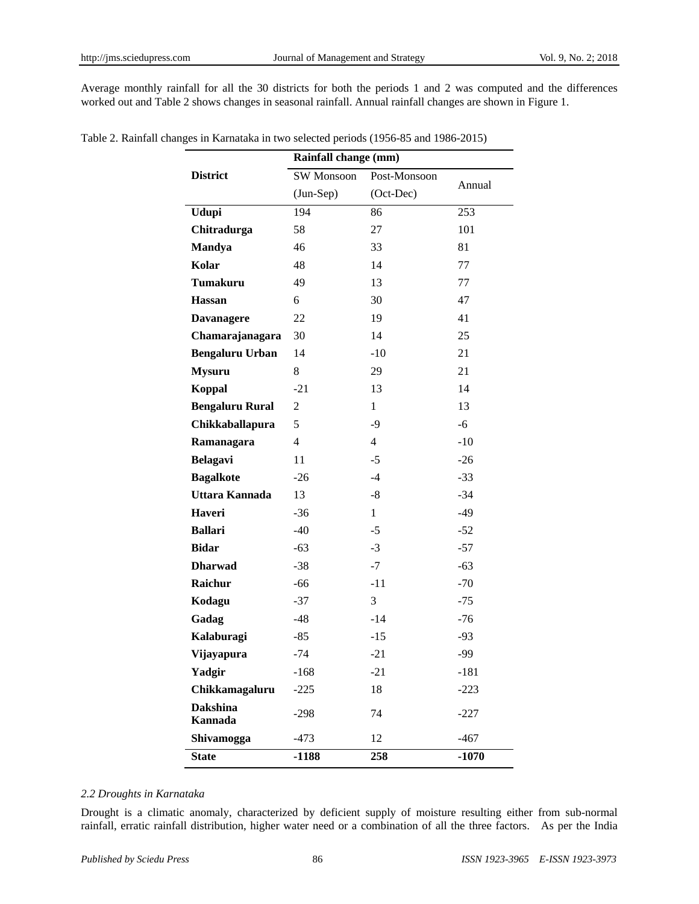Average monthly rainfall for all the 30 districts for both the periods 1 and 2 was computed and the differences worked out and Table 2 shows changes in seasonal rainfall. Annual rainfall changes are shown in Figure 1.

|                            | Rainfall change (mm)     |                |                                             |  |  |  |
|----------------------------|--------------------------|----------------|---------------------------------------------|--|--|--|
| <b>District</b>            | SW Monsoon               | Post-Monsoon   |                                             |  |  |  |
|                            | $(Jun-Sep)$              | (Oct-Dec)      | Annual                                      |  |  |  |
| <b>Udupi</b>               | 194                      | 86             | 253                                         |  |  |  |
| Chitradurga                | 58                       | 27             | 101                                         |  |  |  |
| <b>Mandya</b>              | 46                       | 33             | 81                                          |  |  |  |
| Kolar                      | 48                       | 14             | 77                                          |  |  |  |
| <b>Tumakuru</b>            | 49                       | 13             | 77                                          |  |  |  |
| Hassan                     | 6                        | 30             | 47                                          |  |  |  |
| <b>Davanagere</b>          | 22                       | 19             | 41                                          |  |  |  |
| Chamarajanagara            | 30                       | 14             | 25                                          |  |  |  |
| <b>Bengaluru Urban</b>     | 14                       | $-10$          | 21                                          |  |  |  |
| <b>Mysuru</b>              | 8                        | 29             | 21                                          |  |  |  |
| Koppal                     | $-21$                    | 13             | 14<br>13<br>$-6$<br>$-10$<br>$-26$<br>$-33$ |  |  |  |
| <b>Bengaluru Rural</b>     | $\overline{c}$           | $\mathbf{1}$   |                                             |  |  |  |
| Chikkaballapura            | 5                        | $-9$           |                                             |  |  |  |
| Ramanagara                 | $\overline{\mathcal{L}}$ | $\overline{4}$ |                                             |  |  |  |
| <b>Belagavi</b>            | 11                       | $-5$           |                                             |  |  |  |
| <b>Bagalkote</b>           | $-26$                    | $-4$           |                                             |  |  |  |
| Uttara Kannada             | 13                       | $-8$           | $-34$                                       |  |  |  |
| Haveri                     | $-36$                    | $\mathbf{1}$   | $-49$<br>$-52$                              |  |  |  |
| <b>Ballari</b>             | $-40$                    | $-5$           |                                             |  |  |  |
| <b>Bidar</b>               | $-63$                    | $-3$           | $-57$                                       |  |  |  |
| <b>Dharwad</b>             | $-38$                    | $-7$           | $-63$                                       |  |  |  |
| Raichur                    | $-66$                    | $-11$          | $-70$                                       |  |  |  |
| Kodagu                     | $-37$                    | 3              | $-75$                                       |  |  |  |
| Gadag                      | $-48$                    | $-14$          | $-76$                                       |  |  |  |
| Kalaburagi                 | $-85$                    | $-15$          | $-93$                                       |  |  |  |
| Vijayapura                 | $-74$                    | $-21$          | -99                                         |  |  |  |
| Yadgir                     | $-168$                   | $-21$          | $-181$                                      |  |  |  |
| Chikkamagaluru             | $-225$                   | 18             | $-223$                                      |  |  |  |
| <b>Dakshina</b><br>Kannada | $-298$                   | 74             | $-227$                                      |  |  |  |
| Shivamogga                 | $-473$                   | 12             | $-467$                                      |  |  |  |
| <b>State</b>               | $-1188$                  | 258            | $-1070$                                     |  |  |  |

Table 2. Rainfall changes in Karnataka in two selected periods (1956-85 and 1986-2015)

### *2.2 Droughts in Karnataka*

Drought is a climatic anomaly, characterized by deficient supply of moisture resulting either from sub-normal rainfall, erratic rainfall distribution, higher water need or a combination of all the three factors. As per the India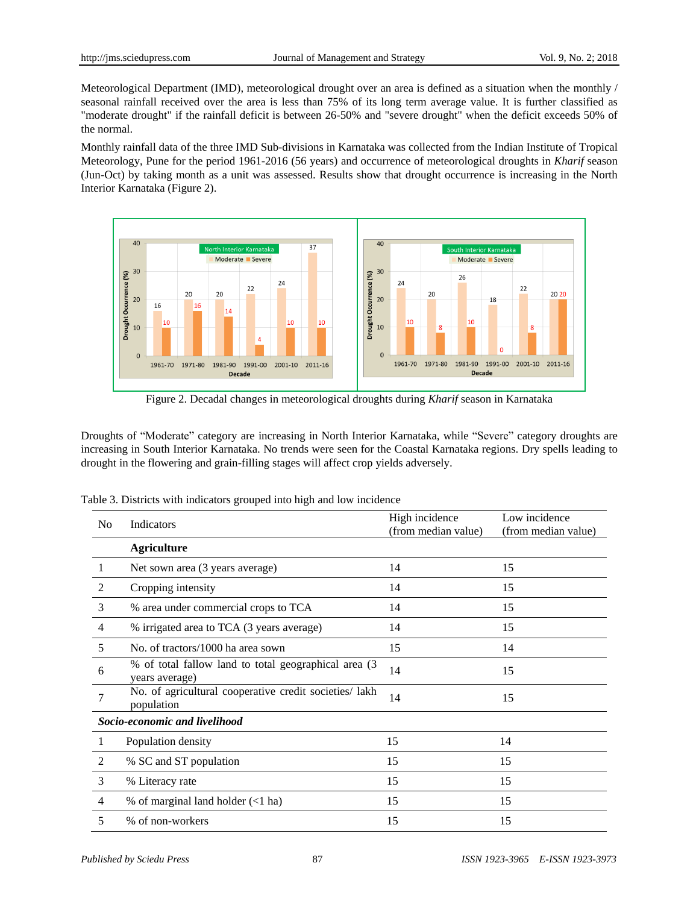Meteorological Department (IMD), meteorological drought over an area is defined as a situation when the monthly / seasonal rainfall received over the area is less than 75% of its long term average value. It is further classified as "moderate drought" if the rainfall deficit is between 26-50% and "severe drought" when the deficit exceeds 50% of the normal.

Monthly rainfall data of the three IMD Sub-divisions in Karnataka was collected from the Indian Institute of Tropical Meteorology, Pune for the period 1961-2016 (56 years) and occurrence of meteorological droughts in *Kharif* season (Jun-Oct) by taking month as a unit was assessed. Results show that drought occurrence is increasing in the North Interior Karnataka (Figure 2).



Figure 2. Decadal changes in meteorological droughts during *Kharif* season in Karnataka

Droughts of "Moderate" category are increasing in North Interior Karnataka, while "Severe" category droughts are increasing in South Interior Karnataka. No trends were seen for the Coastal Karnataka regions. Dry spells leading to drought in the flowering and grain-filling stages will affect crop yields adversely.

|  | Table 3. Districts with indicators grouped into high and low incidence |  |  |  |  |
|--|------------------------------------------------------------------------|--|--|--|--|
|  |                                                                        |  |  |  |  |

| N <sub>0</sub> | Indicators                                                             | High incidence<br>(from median value) | Low incidence<br>(from median value) |  |
|----------------|------------------------------------------------------------------------|---------------------------------------|--------------------------------------|--|
|                | <b>Agriculture</b>                                                     |                                       |                                      |  |
| 1              | Net sown area (3 years average)                                        | 14                                    | 15                                   |  |
| 2              | Cropping intensity                                                     | 14                                    | 15                                   |  |
| 3              | % area under commercial crops to TCA                                   | 14                                    | 15                                   |  |
| $\overline{4}$ | % irrigated area to TCA (3 years average)                              | 14                                    | 15                                   |  |
| 5              | No. of tractors/1000 ha area sown                                      | 15                                    | 14                                   |  |
| 6              | % of total fallow land to total geographical area (3<br>years average) | 14                                    | 15                                   |  |
| 7              | No. of agricultural cooperative credit societies/ lakh<br>population   | 14                                    | 15                                   |  |
|                | Socio-economic and livelihood                                          |                                       |                                      |  |
| 1              | Population density                                                     | 15                                    | 14                                   |  |
| $\mathfrak{D}$ | % SC and ST population                                                 | 15                                    | 15                                   |  |
| 3              | % Literacy rate                                                        | 15                                    | 15                                   |  |
| 4              | % of marginal land holder (<1 ha)                                      | 15                                    | 15                                   |  |
| 5              | % of non-workers                                                       | 15                                    | 15                                   |  |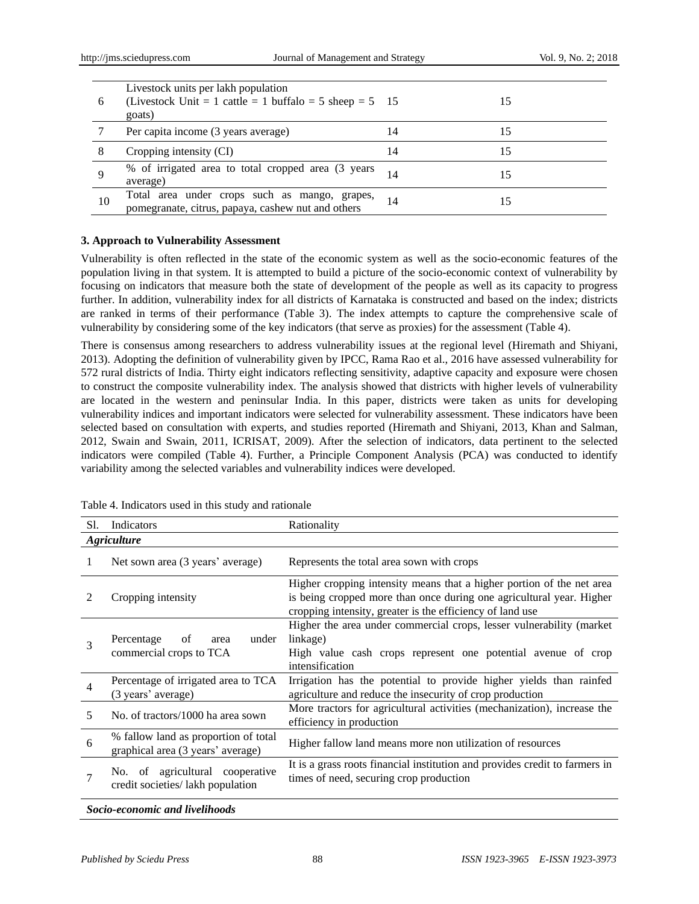| 6  | Livestock units per lakh population<br>(Livestock Unit = 1 cattle = 1 buffalo = 5 sheep = $5 \text{ } 15$<br>goats) |    | 15 |
|----|---------------------------------------------------------------------------------------------------------------------|----|----|
|    | Per capita income (3 years average)                                                                                 | 14 | 15 |
|    | Cropping intensity (CI)                                                                                             | 14 |    |
| Q  | % of irrigated area to total cropped area (3 years)<br>average)                                                     | 14 |    |
| 10 | Total area under crops such as mango, grapes,<br>pomegranate, citrus, papaya, cashew nut and others                 | 14 |    |

# **3. Approach to Vulnerability Assessment**

Vulnerability is often reflected in the state of the economic system as well as the socio-economic features of the population living in that system. It is attempted to build a picture of the socio-economic context of vulnerability by focusing on indicators that measure both the state of development of the people as well as its capacity to progress further. In addition, vulnerability index for all districts of Karnataka is constructed and based on the index; districts are ranked in terms of their performance (Table 3). The index attempts to capture the comprehensive scale of vulnerability by considering some of the key indicators (that serve as proxies) for the assessment (Table 4).

There is consensus among researchers to address vulnerability issues at the regional level (Hiremath and Shiyani, 2013). Adopting the definition of vulnerability given by IPCC, Rama Rao et al., 2016 have assessed vulnerability for 572 rural districts of India. Thirty eight indicators reflecting sensitivity, adaptive capacity and exposure were chosen to construct the composite vulnerability index. The analysis showed that districts with higher levels of vulnerability are located in the western and peninsular India. In this paper, districts were taken as units for developing vulnerability indices and important indicators were selected for vulnerability assessment. These indicators have been selected based on consultation with experts, and studies reported (Hiremath and Shiyani, 2013, Khan and Salman, 2012, Swain and Swain, 2011, ICRISAT, 2009). After the selection of indicators, data pertinent to the selected indicators were compiled (Table 4). Further, a Principle Component Analysis (PCA) was conducted to identify variability among the selected variables and vulnerability indices were developed.

| Sl. | Indicators                                                                | Rationality                                                                                                                                                                                                |
|-----|---------------------------------------------------------------------------|------------------------------------------------------------------------------------------------------------------------------------------------------------------------------------------------------------|
|     | <b>Agriculture</b>                                                        |                                                                                                                                                                                                            |
| 1   | Net sown area (3 years' average)                                          | Represents the total area sown with crops                                                                                                                                                                  |
|     | Cropping intensity                                                        | Higher cropping intensity means that a higher portion of the net area<br>is being cropped more than once during one agricultural year. Higher<br>cropping intensity, greater is the efficiency of land use |
| 3   | Percentage<br>under<br>of<br>area<br>commercial crops to TCA              | Higher the area under commercial crops, lesser vulnerability (market)<br>linkage)<br>High value cash crops represent one potential avenue of crop<br>intensification                                       |
| 4   | Percentage of irrigated area to TCA<br>(3 years' average)                 | Irrigation has the potential to provide higher yields than rainfed<br>agriculture and reduce the insecurity of crop production                                                                             |
| 5   | No. of tractors/1000 ha area sown                                         | More tractors for agricultural activities (mechanization), increase the<br>efficiency in production                                                                                                        |
| 6   | % fallow land as proportion of total<br>graphical area (3 years' average) | Higher fallow land means more non utilization of resources                                                                                                                                                 |
|     | No. of agricultural cooperative<br>credit societies/ lakh population      | It is a grass roots financial institution and provides credit to farmers in<br>times of need, securing crop production                                                                                     |
|     | Socio-economic and livelihoods                                            |                                                                                                                                                                                                            |

Table 4. Indicators used in this study and rationale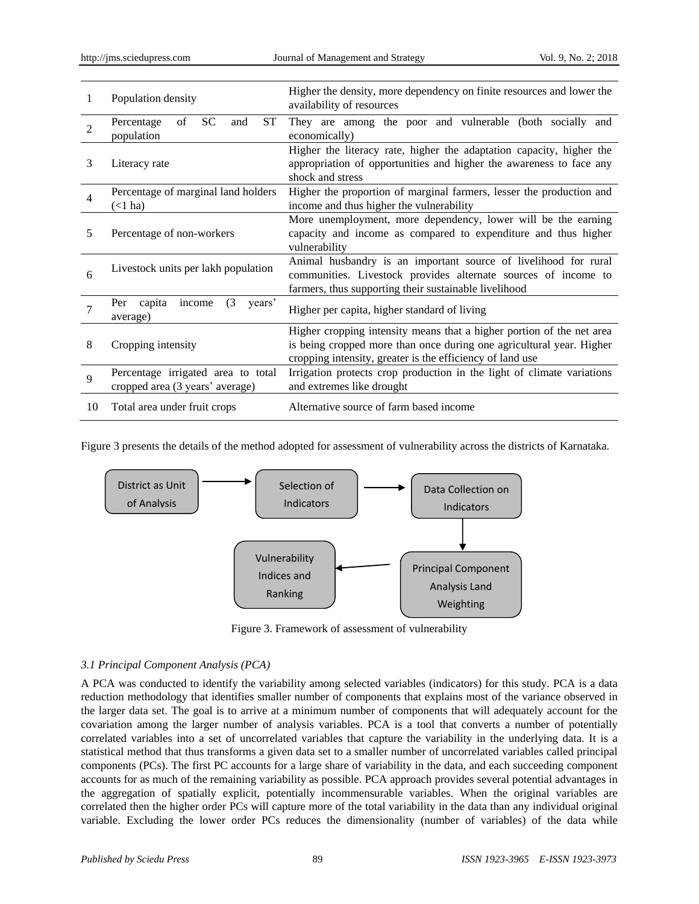| T                                                                                                                                                                                                                                     | Population density                                                                                   | Higher the density, more dependency on finite resources and lower the<br>availability of resources                                                                                         |  |  |  |  |  |  |
|---------------------------------------------------------------------------------------------------------------------------------------------------------------------------------------------------------------------------------------|------------------------------------------------------------------------------------------------------|--------------------------------------------------------------------------------------------------------------------------------------------------------------------------------------------|--|--|--|--|--|--|
| $\mathfrak{D}$                                                                                                                                                                                                                        | <b>SC</b><br><b>ST</b><br>of<br>and<br>Percentage<br>population                                      | They are among the poor and vulnerable (both socially and<br>economically)                                                                                                                 |  |  |  |  |  |  |
| 3                                                                                                                                                                                                                                     | Literacy rate                                                                                        | Higher the literacy rate, higher the adaptation capacity, higher the<br>appropriation of opportunities and higher the awareness to face any<br>shock and stress                            |  |  |  |  |  |  |
| 4                                                                                                                                                                                                                                     | Percentage of marginal land holders<br>$($ d ha $)$                                                  | Higher the proportion of marginal farmers, lesser the production and<br>income and thus higher the vulnerability                                                                           |  |  |  |  |  |  |
| 5                                                                                                                                                                                                                                     | Percentage of non-workers                                                                            | More unemployment, more dependency, lower will be the earning<br>capacity and income as compared to expenditure and thus higher<br>vulnerability                                           |  |  |  |  |  |  |
| 6                                                                                                                                                                                                                                     | Livestock units per lakh population                                                                  | Animal husbandry is an important source of livelihood for rural<br>communities. Livestock provides alternate sources of income to<br>farmers, thus supporting their sustainable livelihood |  |  |  |  |  |  |
|                                                                                                                                                                                                                                       | (3)<br>Per<br>capita<br>years'<br>income<br>Higher per capita, higher standard of living<br>average) |                                                                                                                                                                                            |  |  |  |  |  |  |
| Higher cropping intensity means that a higher portion of the net area<br>8<br>is being cropped more than once during one agricultural year. Higher<br>Cropping intensity<br>cropping intensity, greater is the efficiency of land use |                                                                                                      |                                                                                                                                                                                            |  |  |  |  |  |  |
| 9                                                                                                                                                                                                                                     | Percentage irrigated area to total<br>cropped area (3 years' average)                                | Irrigation protects crop production in the light of climate variations<br>and extremes like drought                                                                                        |  |  |  |  |  |  |
| 10                                                                                                                                                                                                                                    | Total area under fruit crops                                                                         | Alternative source of farm based income                                                                                                                                                    |  |  |  |  |  |  |

Figure 3 presents the details of the method adopted for assessment of vulnerability across the districts of Karnataka.



Figure 3. Framework of assessment of vulnerability

### *3.1 Principal Component Analysis (PCA)*

A PCA was conducted to identify the variability among selected variables (indicators) for this study. PCA is a data reduction methodology that identifies smaller number of components that explains most of the variance observed in the larger data set. The goal is to arrive at a minimum number of components that will adequately account for the covariation among the larger number of analysis variables. PCA is a tool that converts a number of potentially correlated variables into a set of uncorrelated variables that capture the variability in the underlying data. It is a statistical method that thus transforms a given data set to a smaller number of uncorrelated variables called principal components (PCs). The first PC accounts for a large share of variability in the data, and each succeeding component accounts for as much of the remaining variability as possible. PCA approach provides several potential advantages in the aggregation of spatially explicit, potentially incommensurable variables. When the original variables are correlated then the higher order PCs will capture more of the total variability in the data than any individual original variable. Excluding the lower order PCs reduces the dimensionality (number of variables) of the data while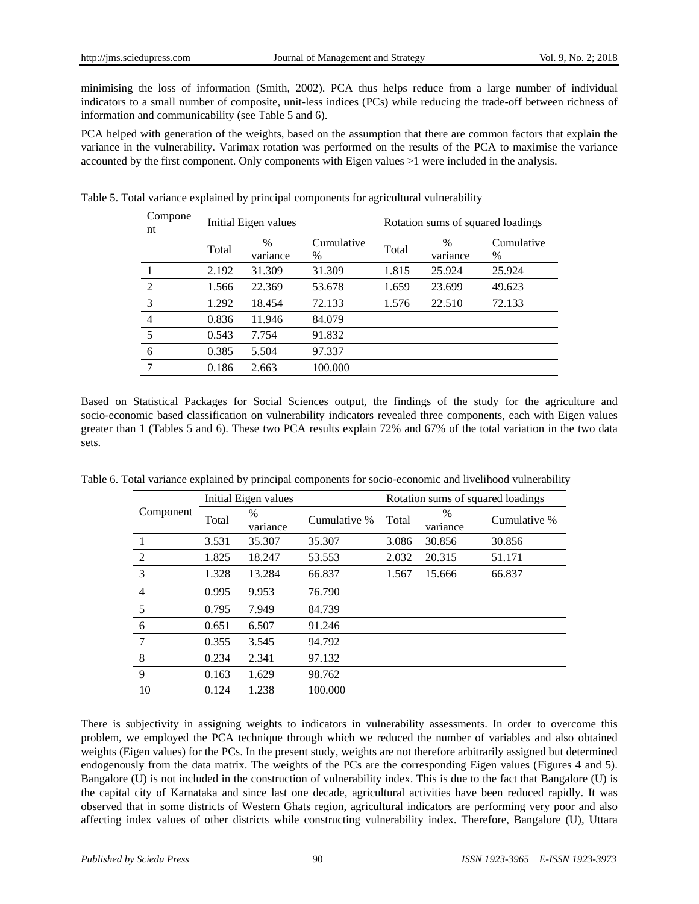minimising the loss of information (Smith, 2002). PCA thus helps reduce from a large number of individual indicators to a small number of composite, unit-less indices (PCs) while reducing the trade-off between richness of information and communicability (see Table 5 and 6).

PCA helped with generation of the weights, based on the assumption that there are common factors that explain the variance in the vulnerability. Varimax rotation was performed on the results of the PCA to maximise the variance accounted by the first component. Only components with Eigen values >1 were included in the analysis.

| Compone<br>nt  |       | Initial Eigen values |            | Rotation sums of squared loadings |               |            |
|----------------|-------|----------------------|------------|-----------------------------------|---------------|------------|
|                | Total | $\frac{0}{0}$        | Cumulative | Total                             | $\frac{0}{0}$ | Cumulative |
|                |       | variance             | $\%$       |                                   | variance      | $\%$       |
|                | 2.192 | 31.309               | 31.309     | 1.815                             | 25.924        | 25.924     |
| $\overline{2}$ | 1.566 | 22.369               | 53.678     | 1.659                             | 23.699        | 49.623     |
| 3              | 1.292 | 18.454               | 72.133     | 1.576                             | 22.510        | 72.133     |
| $\overline{4}$ | 0.836 | 11.946               | 84.079     |                                   |               |            |
| 5              | 0.543 | 7.754                | 91.832     |                                   |               |            |
| 6              | 0.385 | 5.504                | 97.337     |                                   |               |            |
| 7              | 0.186 | 2.663                | 100.000    |                                   |               |            |

Table 5. Total variance explained by principal components for agricultural vulnerability

Based on Statistical Packages for Social Sciences output, the findings of the study for the agriculture and socio-economic based classification on vulnerability indicators revealed three components, each with Eigen values greater than 1 (Tables 5 and 6). These two PCA results explain 72% and 67% of the total variation in the two data sets.

|                | Initial Eigen values |                  |              | Rotation sums of squared loadings |                  |              |
|----------------|----------------------|------------------|--------------|-----------------------------------|------------------|--------------|
| Component      | Total                | $\%$<br>variance | Cumulative % | Total                             | $\%$<br>variance | Cumulative % |
|                | 3.531                | 35.307           | 35.307       | 3.086                             | 30.856           | 30.856       |
| 2              | 1.825                | 18.247           | 53.553       | 2.032                             | 20.315           | 51.171       |
| 3              | 1.328                | 13.284           | 66.837       | 1.567                             | 15.666           | 66.837       |
| $\overline{4}$ | 0.995                | 9.953            | 76.790       |                                   |                  |              |
| 5              | 0.795                | 7.949            | 84.739       |                                   |                  |              |
| 6              | 0.651                | 6.507            | 91.246       |                                   |                  |              |
| 7              | 0.355                | 3.545            | 94.792       |                                   |                  |              |
| 8              | 0.234                | 2.341            | 97.132       |                                   |                  |              |
| 9              | 0.163                | 1.629            | 98.762       |                                   |                  |              |
| 10             | 0.124                | 1.238            | 100.000      |                                   |                  |              |

Table 6. Total variance explained by principal components for socio-economic and livelihood vulnerability

There is subjectivity in assigning weights to indicators in vulnerability assessments. In order to overcome this problem, we employed the PCA technique through which we reduced the number of variables and also obtained weights (Eigen values) for the PCs. In the present study, weights are not therefore arbitrarily assigned but determined endogenously from the data matrix. The weights of the PCs are the corresponding Eigen values (Figures 4 and 5). Bangalore (U) is not included in the construction of vulnerability index. This is due to the fact that Bangalore (U) is the capital city of Karnataka and since last one decade, agricultural activities have been reduced rapidly. It was observed that in some districts of Western Ghats region, agricultural indicators are performing very poor and also affecting index values of other districts while constructing vulnerability index. Therefore, Bangalore (U), Uttara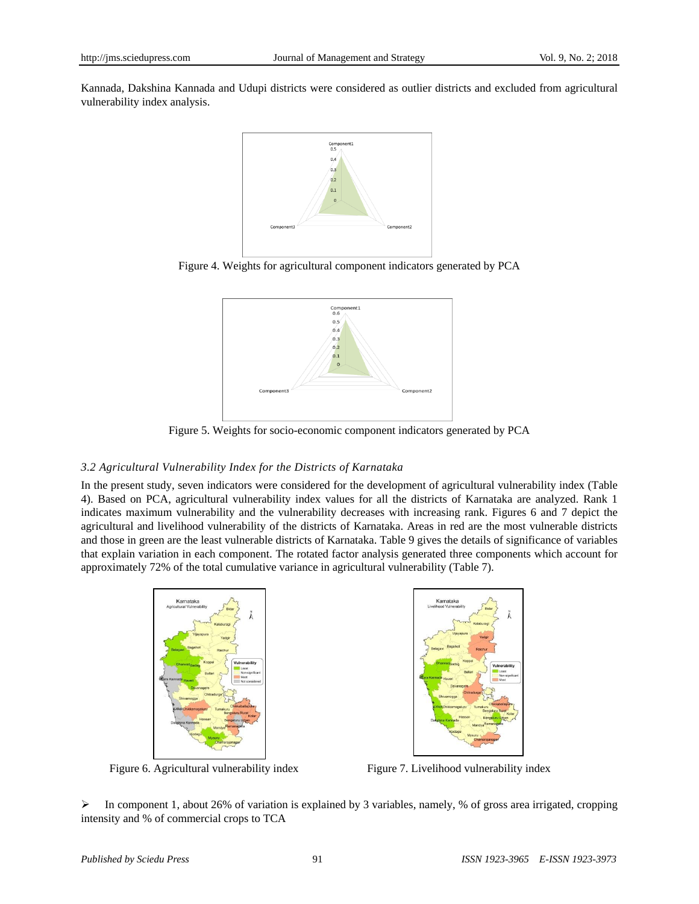Kannada, Dakshina Kannada and Udupi districts were considered as outlier districts and excluded from agricultural vulnerability index analysis.







Figure 5. Weights for socio-economic component indicators generated by PCA

# *3.2 Agricultural Vulnerability Index for the Districts of Karnataka*

In the present study, seven indicators were considered for the development of agricultural vulnerability index (Table 4). Based on PCA, agricultural vulnerability index values for all the districts of Karnataka are analyzed. Rank 1 indicates maximum vulnerability and the vulnerability decreases with increasing rank. Figures 6 and 7 depict the agricultural and livelihood vulnerability of the districts of Karnataka. Areas in red are the most vulnerable districts and those in green are the least vulnerable districts of Karnataka. Table 9 gives the details of significance of variables that explain variation in each component. The rotated factor analysis generated three components which account for approximately 72% of the total cumulative variance in agricultural vulnerability (Table 7).



Figure 6. Agricultural vulnerability index Figure 7. Livelihood vulnerability index

In component 1, about 26% of variation is explained by 3 variables, namely, % of gross area irrigated, cropping intensity and % of commercial crops to TCA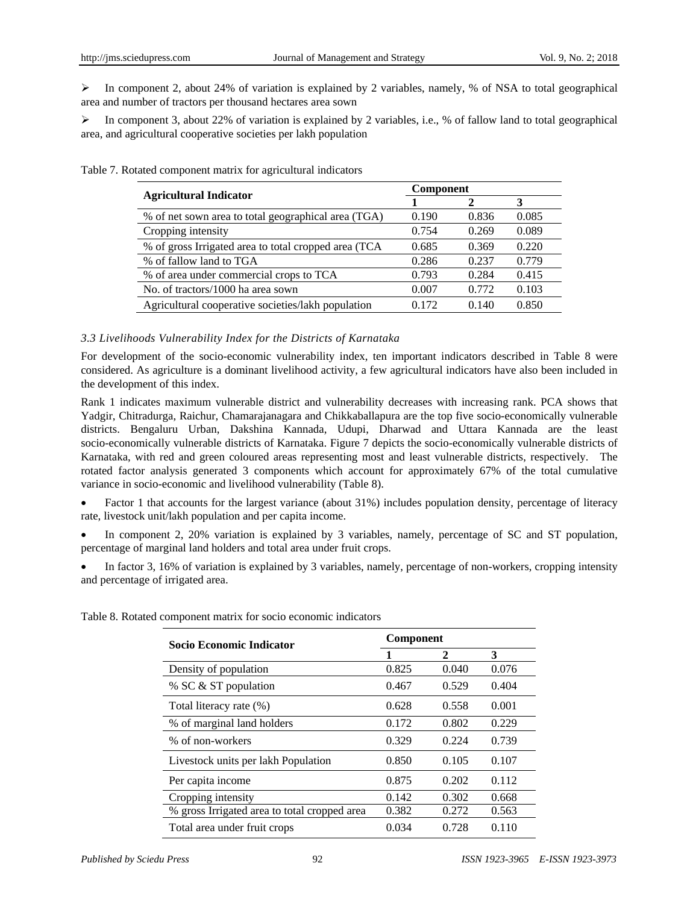$\triangleright$  In component 2, about 24% of variation is explained by 2 variables, namely, % of NSA to total geographical area and number of tractors per thousand hectares area sown

 $\triangleright$  In component 3, about 22% of variation is explained by 2 variables, i.e., % of fallow land to total geographical area, and agricultural cooperative societies per lakh population

Table 7. Rotated component matrix for agricultural indicators

| 3     |
|-------|
| 0.085 |
| 0.089 |
| 0.220 |
| 0.779 |
| 0.415 |
| 0.103 |
| 0.850 |
|       |

# *3.3 Livelihoods Vulnerability Index for the Districts of Karnataka*

For development of the socio-economic vulnerability index, ten important indicators described in Table 8 were considered. As agriculture is a dominant livelihood activity, a few agricultural indicators have also been included in the development of this index.

Rank 1 indicates maximum vulnerable district and vulnerability decreases with increasing rank. PCA shows that Yadgir, Chitradurga, Raichur, Chamarajanagara and Chikkaballapura are the top five socio-economically vulnerable districts. Bengaluru Urban, Dakshina Kannada, Udupi, Dharwad and Uttara Kannada are the least socio-economically vulnerable districts of Karnataka. Figure 7 depicts the socio-economically vulnerable districts of Karnataka, with red and green coloured areas representing most and least vulnerable districts, respectively. The rotated factor analysis generated 3 components which account for approximately 67% of the total cumulative variance in socio-economic and livelihood vulnerability (Table 8).

 Factor 1 that accounts for the largest variance (about 31%) includes population density, percentage of literacy rate, livestock unit/lakh population and per capita income.

 In component 2, 20% variation is explained by 3 variables, namely, percentage of SC and ST population, percentage of marginal land holders and total area under fruit crops.

 In factor 3, 16% of variation is explained by 3 variables, namely, percentage of non-workers, cropping intensity and percentage of irrigated area.

| <b>Socio Economic Indicator</b>              | <b>Component</b> |       |       |  |
|----------------------------------------------|------------------|-------|-------|--|
|                                              | 1                | 2     | 3     |  |
| Density of population                        | 0.825            | 0.040 | 0.076 |  |
| % SC & ST population                         | 0.467            | 0.529 | 0.404 |  |
| Total literacy rate (%)                      | 0.628            | 0.558 | 0.001 |  |
| % of marginal land holders                   | 0.172            | 0.802 | 0.229 |  |
| % of non-workers                             | 0.329            | 0.224 | 0.739 |  |
| Livestock units per lakh Population          | 0.850            | 0.105 | 0.107 |  |
| Per capita income                            | 0.875            | 0.202 | 0.112 |  |
| Cropping intensity                           | 0.142            | 0.302 | 0.668 |  |
| % gross Irrigated area to total cropped area | 0.382            | 0.272 | 0.563 |  |
| Total area under fruit crops                 | 0.034            | 0.728 | 0.110 |  |

Table 8. Rotated component matrix for socio economic indicators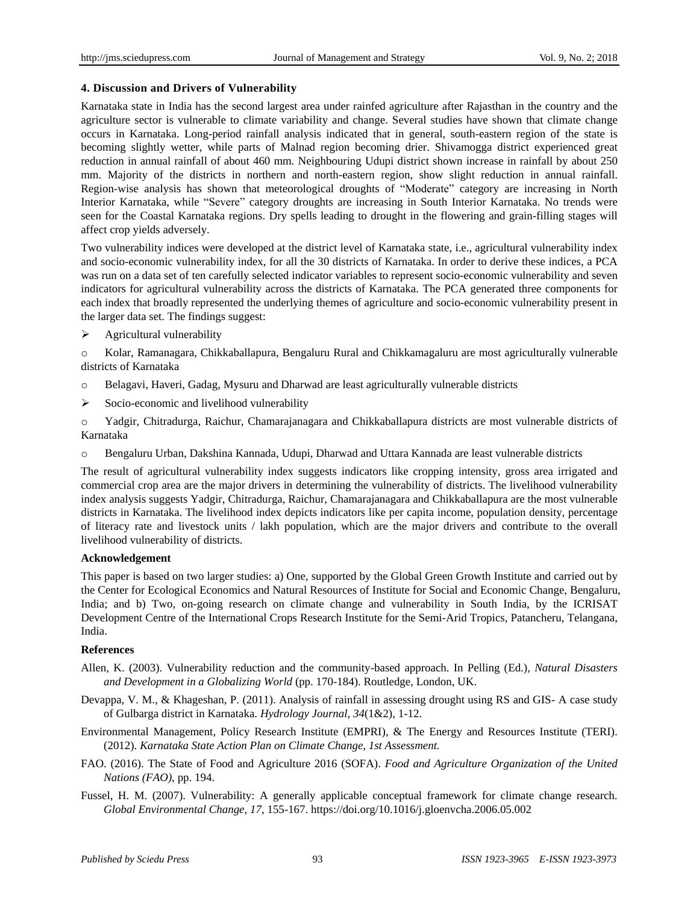### **4. Discussion and Drivers of Vulnerability**

Karnataka state in India has the second largest area under rainfed agriculture after Rajasthan in the country and the agriculture sector is vulnerable to climate variability and change. Several studies have shown that climate change occurs in Karnataka. Long-period rainfall analysis indicated that in general, south-eastern region of the state is becoming slightly wetter, while parts of Malnad region becoming drier. Shivamogga district experienced great reduction in annual rainfall of about 460 mm. Neighbouring Udupi district shown increase in rainfall by about 250 mm. Majority of the districts in northern and north-eastern region, show slight reduction in annual rainfall. Region-wise analysis has shown that meteorological droughts of "Moderate" category are increasing in North Interior Karnataka, while "Severe" category droughts are increasing in South Interior Karnataka. No trends were seen for the Coastal Karnataka regions. Dry spells leading to drought in the flowering and grain-filling stages will affect crop yields adversely.

Two vulnerability indices were developed at the district level of Karnataka state, i.e., agricultural vulnerability index and socio-economic vulnerability index, for all the 30 districts of Karnataka. In order to derive these indices, a PCA was run on a data set of ten carefully selected indicator variables to represent socio-economic vulnerability and seven indicators for agricultural vulnerability across the districts of Karnataka. The PCA generated three components for each index that broadly represented the underlying themes of agriculture and socio-economic vulnerability present in the larger data set. The findings suggest:

 $\triangleright$  Agricultural vulnerability

o Kolar, Ramanagara, Chikkaballapura, Bengaluru Rural and Chikkamagaluru are most agriculturally vulnerable districts of Karnataka

- o Belagavi, Haveri, Gadag, Mysuru and Dharwad are least agriculturally vulnerable districts
- $\triangleright$  Socio-economic and livelihood vulnerability
- o Yadgir, Chitradurga, Raichur, Chamarajanagara and Chikkaballapura districts are most vulnerable districts of Karnataka
- o Bengaluru Urban, Dakshina Kannada, Udupi, Dharwad and Uttara Kannada are least vulnerable districts

The result of agricultural vulnerability index suggests indicators like cropping intensity, gross area irrigated and commercial crop area are the major drivers in determining the vulnerability of districts. The livelihood vulnerability index analysis suggests Yadgir, Chitradurga, Raichur, Chamarajanagara and Chikkaballapura are the most vulnerable districts in Karnataka. The livelihood index depicts indicators like per capita income, population density, percentage of literacy rate and livestock units / lakh population, which are the major drivers and contribute to the overall livelihood vulnerability of districts.

### **Acknowledgement**

This paper is based on two larger studies: a) One, supported by the Global Green Growth Institute and carried out by the Center for Ecological Economics and Natural Resources of Institute for Social and Economic Change, Bengaluru, India; and b) Two, on-going research on climate change and vulnerability in South India, by the ICRISAT Development Centre of the International Crops Research Institute for the Semi-Arid Tropics, Patancheru, Telangana, India.

### **References**

- Allen, K. (2003). Vulnerability reduction and the community-based approach. In Pelling (Ed.), *Natural Disasters and Development in a Globalizing World* (pp. 170-184). Routledge, London, UK.
- Devappa, V. M., & Khageshan, P. (2011). Analysis of rainfall in assessing drought using RS and GIS- A case study of Gulbarga district in Karnataka. *Hydrology Journal*, *34*(1&2), 1-12.
- Environmental Management, Policy Research Institute (EMPRI), & The Energy and Resources Institute (TERI). (2012). *Karnataka State Action Plan on Climate Change, 1st Assessment.*
- FAO. (2016). The State of Food and Agriculture 2016 (SOFA). *Food and Agriculture Organization of the United Nations (FAO)*, pp. 194.
- Fussel, H. M. (2007). Vulnerability: A generally applicable conceptual framework for climate change research. *Global Environmental Change, 17*, 155-167. https://doi.org/10.1016/j.gloenvcha.2006.05.002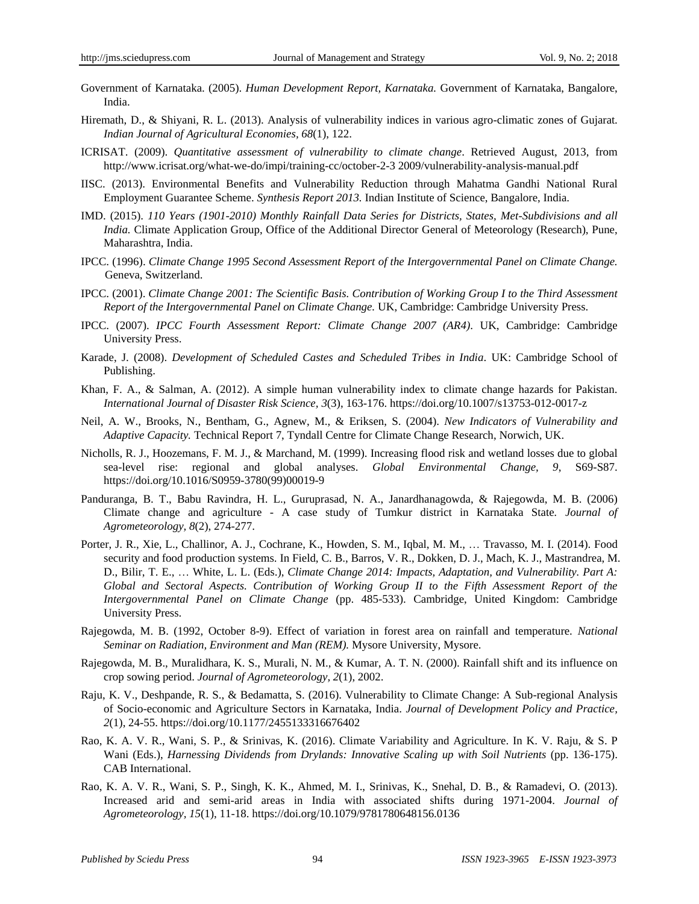- Government of Karnataka. (2005). *Human Development Report, Karnataka.* Government of Karnataka, Bangalore, India.
- Hiremath, D., & Shiyani, R. L. (2013). Analysis of vulnerability indices in various agro-climatic zones of Gujarat. *Indian Journal of Agricultural Economies, 68*(1), 122.
- ICRISAT. (2009). *Quantitative assessment of vulnerability to climate change*. Retrieved August, 2013, from http://www.icrisat.org/what-we-do/impi/training-cc/october-2-3 2009/vulnerability-analysis-manual.pdf
- IISC. (2013). Environmental Benefits and Vulnerability Reduction through Mahatma Gandhi National Rural Employment Guarantee Scheme. *Synthesis Report 2013.* Indian Institute of Science, Bangalore, India.
- IMD. (2015). *110 Years (1901-2010) Monthly Rainfall Data Series for Districts, States, Met-Subdivisions and all India.* Climate Application Group, Office of the Additional Director General of Meteorology (Research), Pune, Maharashtra, India.
- [IPCC. \(](http://en.wikipedia.org/wiki/IPCC)1996). *Climate Change 1995 Second Assessment Report of the Intergovernmental Panel on Climate Change.* Geneva, Switzerland.
- IPCC. (2001). *Climate Change 2001: The Scientific Basis. Contribution of Working Group I to the Third Assessment Report of the Intergovernmental Panel on Climate Change.* UK, Cambridge: Cambridge University Press.
- IPCC. (2007). *IPCC Fourth Assessment Report: Climate Change 2007 (AR4)*. UK, Cambridge: Cambridge University Press.
- Karade, J. (2008). *Development of Scheduled Castes and Scheduled Tribes in India*. UK: Cambridge School of Publishing.
- Khan, F. A., & Salman, A. (2012). A simple human vulnerability index to climate change hazards for Pakistan. *International Journal of Disaster Risk Science, 3*(3), 163-176. https://doi.org/10.1007/s13753-012-0017-z
- Neil, A. W., Brooks, N., Bentham, G., Agnew, M., & Eriksen, S. (2004). *New Indicators of Vulnerability and Adaptive Capacity.* Technical Report 7, Tyndall Centre for Climate Change Research, Norwich, UK.
- Nicholls, R. J., Hoozemans, F. M. J., & Marchand, M. (1999). Increasing flood risk and wetland losses due to global sea-level rise: regional and global analyses. *Global Environmental Change, 9*, S69-S87. https://doi.org/10.1016/S0959-3780(99)00019-9
- Panduranga, B. T., Babu Ravindra, H. L., Guruprasad, N. A., Janardhanagowda, & Rajegowda, M. B. (2006) Climate change and agriculture - A case study of Tumkur district in Karnataka State*. Journal of Agrometeorology, 8*(2), 274-277.
- Porter, J. R., Xie, L., Challinor, A. J., Cochrane, K., Howden, S. M., Iqbal, M. M., … Travasso, M. I. (2014). Food security and food production systems. In Field, C. B., Barros, V. R., Dokken, D. J., Mach, K. J., Mastrandrea, M. D., Bilir, T. E., … White, L. L. (Eds.), *Climate Change 2014: Impacts, Adaptation, and Vulnerability. Part A: Global and Sectoral Aspects. Contribution of Working Group II to the Fifth Assessment Report of the Intergovernmental Panel on Climate Change* (pp. 485-533). Cambridge, United Kingdom: Cambridge University Press.
- Rajegowda, M. B. (1992, October 8-9). Effect of variation in forest area on rainfall and temperature. *National Seminar on Radiation, Environment and Man (REM).* Mysore University, Mysore.
- Rajegowda, M. B., Muralidhara, K. S., Murali, N. M., & Kumar, A. T. N. (2000). Rainfall shift and its influence on crop sowing period. *Journal of Agrometeorology, 2*(1), 2002.
- Raju, K. V., Deshpande, R. S., & Bedamatta, S. (2016). Vulnerability to Climate Change: A Sub-regional Analysis of Socio-economic and Agriculture Sectors in Karnataka, India. *Journal of Development Policy and Practice, 2*(1), 24-55. https://doi.org/10.1177/2455133316676402
- Rao, K. A. V. R., Wani, S. P., & Srinivas, K. (2016). Climate Variability and Agriculture. In K. V. Raju, & S. P Wani (Eds.), *Harnessing Dividends from Drylands: Innovative Scaling up with Soil Nutrients* (pp. 136-175). CAB International.
- Rao, K. A. V. R., Wani, S. P., Singh, K. K., Ahmed, M. I., Srinivas, K., Snehal, D. B., & Ramadevi, O. (2013). Increased arid and semi-arid areas in India with associated shifts during 1971-2004. *Journal of Agrometeorology, 15*(1), 11-18. https://doi.org/10.1079/9781780648156.0136